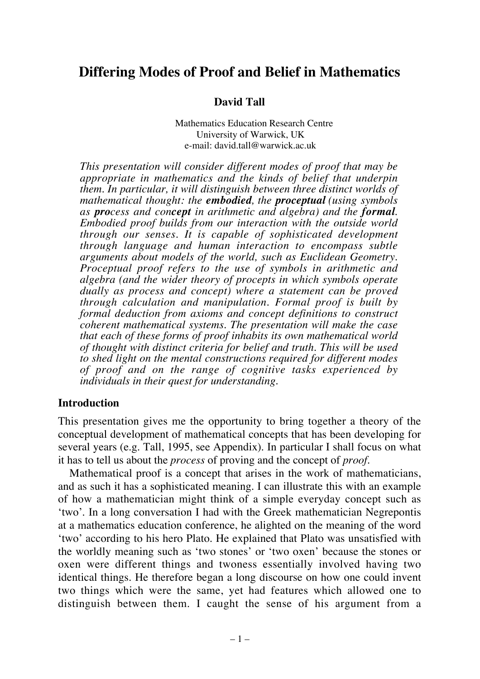# **Differing Modes of Proof and Belief in Mathematics**

### **David Tall**

Mathematics Education Research Centre University of Warwick, UK e-mail: david.tall@warwick.ac.uk

*This presentation will consider different modes of proof that may be appropriate in mathematics and the kinds of belief that underpin them. In particular, it will distinguish between three distinct worlds of mathematical thought: the embodied, the proceptual (using symbols as process and concept in arithmetic and algebra) and the formal. Embodied proof builds from our interaction with the outside world through our senses. It is capable of sophisticated development through language and human interaction to encompass subtle arguments about models of the world, such as Euclidean Geometry. Proceptual proof refers to the use of symbols in arithmetic and algebra (and the wider theory of procepts in which symbols operate dually as process and concept) where a statement can be proved through calculation and manipulation. Formal proof is built by formal deduction from axioms and concept definitions to construct coherent mathematical systems. The presentation will make the case that each of these forms of proof inhabits its own mathematical world of thought with distinct criteria for belief and truth. This will be used to shed light on the mental constructions required for different modes of proof and on the range of cognitive tasks experienced by individuals in their quest for understanding.*

#### **Introduction**

This presentation gives me the opportunity to bring together a theory of the conceptual development of mathematical concepts that has been developing for several years (e.g. Tall, 1995, see Appendix). In particular I shall focus on what it has to tell us about the *process* of proving and the concept of *proof*.

Mathematical proof is a concept that arises in the work of mathematicians, and as such it has a sophisticated meaning. I can illustrate this with an example of how a mathematician might think of a simple everyday concept such as 'two'. In a long conversation I had with the Greek mathematician Negrepontis at a mathematics education conference, he alighted on the meaning of the word 'two' according to his hero Plato. He explained that Plato was unsatisfied with the worldly meaning such as 'two stones' or 'two oxen' because the stones or oxen were different things and twoness essentially involved having two identical things. He therefore began a long discourse on how one could invent two things which were the same, yet had features which allowed one to distinguish between them. I caught the sense of his argument from a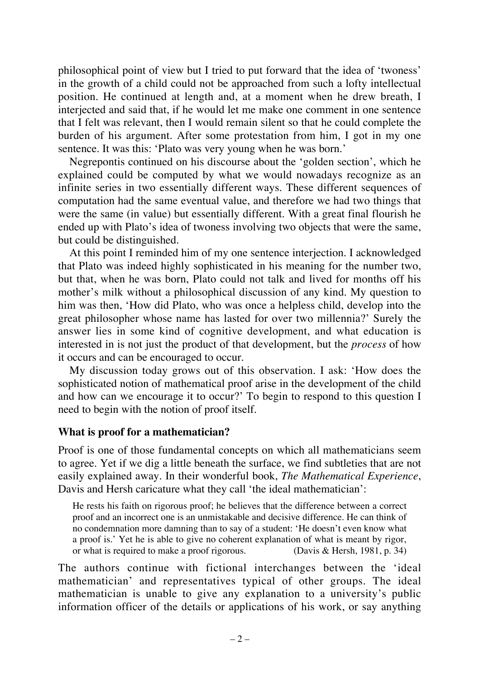philosophical point of view but I tried to put forward that the idea of 'twoness' in the growth of a child could not be approached from such a lofty intellectual position. He continued at length and, at a moment when he drew breath, I interjected and said that, if he would let me make one comment in one sentence that I felt was relevant, then I would remain silent so that he could complete the burden of his argument. After some protestation from him, I got in my one sentence. It was this: 'Plato was very young when he was born.'

Negrepontis continued on his discourse about the 'golden section', which he explained could be computed by what we would nowadays recognize as an infinite series in two essentially different ways. These different sequences of computation had the same eventual value, and therefore we had two things that were the same (in value) but essentially different. With a great final flourish he ended up with Plato's idea of twoness involving two objects that were the same, but could be distinguished.

At this point I reminded him of my one sentence interjection. I acknowledged that Plato was indeed highly sophisticated in his meaning for the number two, but that, when he was born, Plato could not talk and lived for months off his mother's milk without a philosophical discussion of any kind. My question to him was then, 'How did Plato, who was once a helpless child, develop into the great philosopher whose name has lasted for over two millennia?' Surely the answer lies in some kind of cognitive development, and what education is interested in is not just the product of that development, but the *process* of how it occurs and can be encouraged to occur.

My discussion today grows out of this observation. I ask: 'How does the sophisticated notion of mathematical proof arise in the development of the child and how can we encourage it to occur?' To begin to respond to this question I need to begin with the notion of proof itself.

### **What is proof for a mathematician?**

Proof is one of those fundamental concepts on which all mathematicians seem to agree. Yet if we dig a little beneath the surface, we find subtleties that are not easily explained away. In their wonderful book, *The Mathematical Experience*, Davis and Hersh caricature what they call 'the ideal mathematician':

He rests his faith on rigorous proof; he believes that the difference between a correct proof and an incorrect one is an unmistakable and decisive difference. He can think of no condemnation more damning than to say of a student: 'He doesn't even know what a proof is.' Yet he is able to give no coherent explanation of what is meant by rigor, or what is required to make a proof rigorous. (Davis & Hersh, 1981, p. 34)

The authors continue with fictional interchanges between the 'ideal mathematician' and representatives typical of other groups. The ideal mathematician is unable to give any explanation to a university's public information officer of the details or applications of his work, or say anything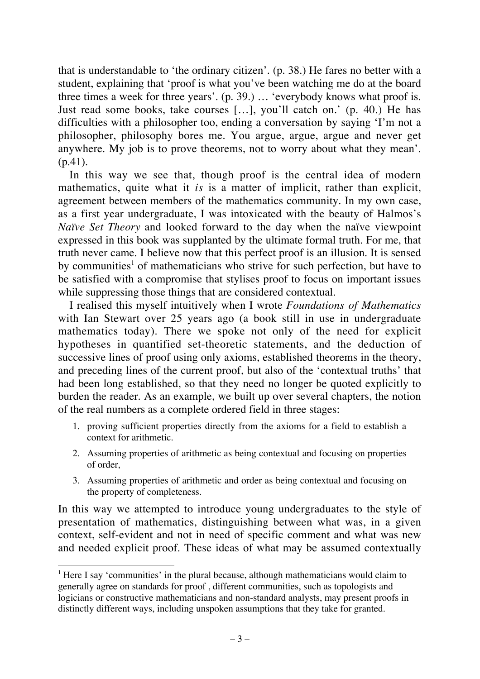that is understandable to 'the ordinary citizen'. (p. 38.) He fares no better with a student, explaining that 'proof is what you've been watching me do at the board three times a week for three years'. (p. 39.) … 'everybody knows what proof is. Just read some books, take courses […], you'll catch on.' (p. 40.) He has difficulties with a philosopher too, ending a conversation by saying 'I'm not a philosopher, philosophy bores me. You argue, argue, argue and never get anywhere. My job is to prove theorems, not to worry about what they mean'. (p.41).

In this way we see that, though proof is the central idea of modern mathematics, quite what it *is* is a matter of implicit, rather than explicit, agreement between members of the mathematics community. In my own case, as a first year undergraduate, I was intoxicated with the beauty of Halmos's *Naïve Set Theory* and looked forward to the day when the naïve viewpoint expressed in this book was supplanted by the ultimate formal truth. For me, that truth never came. I believe now that this perfect proof is an illusion. It is sensed by communities<sup>1</sup> of mathematicians who strive for such perfection, but have to be satisfied with a compromise that stylises proof to focus on important issues while suppressing those things that are considered contextual.

I realised this myself intuitively when I wrote *Foundations of Mathematics* with Ian Stewart over 25 years ago (a book still in use in undergraduate mathematics today). There we spoke not only of the need for explicit hypotheses in quantified set-theoretic statements, and the deduction of successive lines of proof using only axioms, established theorems in the theory, and preceding lines of the current proof, but also of the 'contextual truths' that had been long established, so that they need no longer be quoted explicitly to burden the reader. As an example, we built up over several chapters, the notion of the real numbers as a complete ordered field in three stages:

- 1. proving sufficient properties directly from the axioms for a field to establish a context for arithmetic.
- 2. Assuming properties of arithmetic as being contextual and focusing on properties of order,
- 3. Assuming properties of arithmetic and order as being contextual and focusing on the property of completeness.

In this way we attempted to introduce young undergraduates to the style of presentation of mathematics, distinguishing between what was, in a given context, self-evident and not in need of specific comment and what was new and needed explicit proof. These ideas of what may be assumed contextually

 $\frac{1}{1}$  $<sup>1</sup>$  Here I say 'communities' in the plural because, although mathematicians would claim to</sup> generally agree on standards for proof , different communities, such as topologists and logicians or constructive mathematicians and non-standard analysts, may present proofs in distinctly different ways, including unspoken assumptions that they take for granted.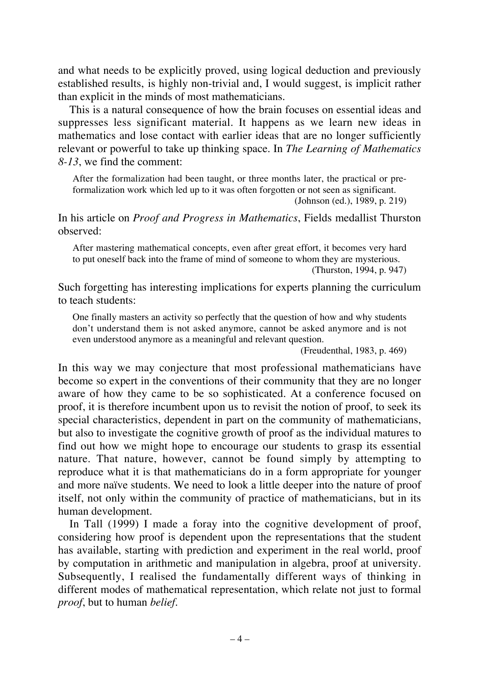and what needs to be explicitly proved, using logical deduction and previously established results, is highly non-trivial and, I would suggest, is implicit rather than explicit in the minds of most mathematicians.

This is a natural consequence of how the brain focuses on essential ideas and suppresses less significant material. It happens as we learn new ideas in mathematics and lose contact with earlier ideas that are no longer sufficiently relevant or powerful to take up thinking space. In *The Learning of Mathematics 8-13*, we find the comment:

After the formalization had been taught, or three months later, the practical or preformalization work which led up to it was often forgotten or not seen as significant. (Johnson (ed.), 1989, p. 219)

In his article on *Proof and Progress in Mathematics*, Fields medallist Thurston observed:

After mastering mathematical concepts, even after great effort, it becomes very hard to put oneself back into the frame of mind of someone to whom they are mysterious. (Thurston, 1994, p. 947)

Such forgetting has interesting implications for experts planning the curriculum to teach students:

One finally masters an activity so perfectly that the question of how and why students don't understand them is not asked anymore, cannot be asked anymore and is not even understood anymore as a meaningful and relevant question.

(Freudenthal, 1983, p. 469)

In this way we may conjecture that most professional mathematicians have become so expert in the conventions of their community that they are no longer aware of how they came to be so sophisticated. At a conference focused on proof, it is therefore incumbent upon us to revisit the notion of proof, to seek its special characteristics, dependent in part on the community of mathematicians, but also to investigate the cognitive growth of proof as the individual matures to find out how we might hope to encourage our students to grasp its essential nature. That nature, however, cannot be found simply by attempting to reproduce what it is that mathematicians do in a form appropriate for younger and more naïve students. We need to look a little deeper into the nature of proof itself, not only within the community of practice of mathematicians, but in its human development.

In Tall (1999) I made a foray into the cognitive development of proof, considering how proof is dependent upon the representations that the student has available, starting with prediction and experiment in the real world, proof by computation in arithmetic and manipulation in algebra, proof at university. Subsequently, I realised the fundamentally different ways of thinking in different modes of mathematical representation, which relate not just to formal *proof*, but to human *belief*.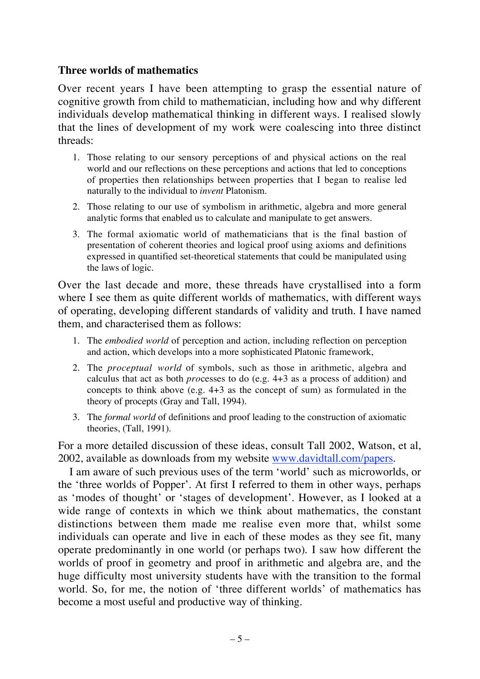## **Three worlds of mathematics**

Over recent years I have been attempting to grasp the essential nature of cognitive growth from child to mathematician, including how and why different individuals develop mathematical thinking in different ways. I realised slowly that the lines of development of my work were coalescing into three distinct threads:

- 1. Those relating to our sensory perceptions of and physical actions on the real world and our reflections on these perceptions and actions that led to conceptions of properties then relationships between properties that I began to realise led naturally to the individual to *invent* Platonism.
- 2. Those relating to our use of symbolism in arithmetic, algebra and more general analytic forms that enabled us to calculate and manipulate to get answers.
- 3. The formal axiomatic world of mathematicians that is the final bastion of presentation of coherent theories and logical proof using axioms and definitions expressed in quantified set-theoretical statements that could be manipulated using the laws of logic.

Over the last decade and more, these threads have crystallised into a form where I see them as quite different worlds of mathematics, with different ways of operating, developing different standards of validity and truth. I have named them, and characterised them as follows:

- 1. The *embodied world* of perception and action, including reflection on perception and action, which develops into a more sophisticated Platonic framework,
- 2. The *proceptual world* of symbols, such as those in arithmetic, algebra and calculus that act as both *pro*cesses to do (e.g. 4+3 as a process of addition) and concepts to think above (e.g. 4+3 as the concept of sum) as formulated in the theory of procepts (Gray and Tall, 1994).
- 3. The *formal world* of definitions and proof leading to the construction of axiomatic theories, (Tall, 1991).

For a more detailed discussion of these ideas, consult Tall 2002, Watson, et al, 2002, available as downloads from my website www.davidtall.com/papers.

I am aware of such previous uses of the term 'world' such as microworlds, or the 'three worlds of Popper'. At first I referred to them in other ways, perhaps as 'modes of thought' or 'stages of development'. However, as I looked at a wide range of contexts in which we think about mathematics, the constant distinctions between them made me realise even more that, whilst some individuals can operate and live in each of these modes as they see fit, many operate predominantly in one world (or perhaps two). I saw how different the worlds of proof in geometry and proof in arithmetic and algebra are, and the huge difficulty most university students have with the transition to the formal world. So, for me, the notion of 'three different worlds' of mathematics has become a most useful and productive way of thinking.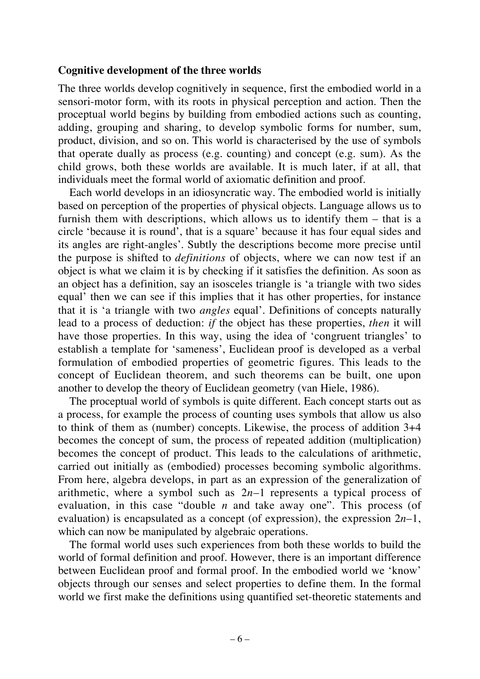#### **Cognitive development of the three worlds**

The three worlds develop cognitively in sequence, first the embodied world in a sensori-motor form, with its roots in physical perception and action. Then the proceptual world begins by building from embodied actions such as counting, adding, grouping and sharing, to develop symbolic forms for number, sum, product, division, and so on. This world is characterised by the use of symbols that operate dually as process (e.g. counting) and concept (e.g. sum). As the child grows, both these worlds are available. It is much later, if at all, that individuals meet the formal world of axiomatic definition and proof.

Each world develops in an idiosyncratic way. The embodied world is initially based on perception of the properties of physical objects. Language allows us to furnish them with descriptions, which allows us to identify them – that is a circle 'because it is round', that is a square' because it has four equal sides and its angles are right-angles'. Subtly the descriptions become more precise until the purpose is shifted to *definitions* of objects, where we can now test if an object is what we claim it is by checking if it satisfies the definition. As soon as an object has a definition, say an isosceles triangle is 'a triangle with two sides equal' then we can see if this implies that it has other properties, for instance that it is 'a triangle with two *angles* equal'. Definitions of concepts naturally lead to a process of deduction: *if* the object has these properties, *then* it will have those properties. In this way, using the idea of 'congruent triangles' to establish a template for 'sameness', Euclidean proof is developed as a verbal formulation of embodied properties of geometric figures. This leads to the concept of Euclidean theorem, and such theorems can be built, one upon another to develop the theory of Euclidean geometry (van Hiele, 1986).

The proceptual world of symbols is quite different. Each concept starts out as a process, for example the process of counting uses symbols that allow us also to think of them as (number) concepts. Likewise, the process of addition 3+4 becomes the concept of sum, the process of repeated addition (multiplication) becomes the concept of product. This leads to the calculations of arithmetic, carried out initially as (embodied) processes becoming symbolic algorithms. From here, algebra develops, in part as an expression of the generalization of arithmetic, where a symbol such as 2*n*–1 represents a typical process of evaluation, in this case "double *n* and take away one". This process (of evaluation) is encapsulated as a concept (of expression), the expression 2*n*–1, which can now be manipulated by algebraic operations.

The formal world uses such experiences from both these worlds to build the world of formal definition and proof. However, there is an important difference between Euclidean proof and formal proof. In the embodied world we 'know' objects through our senses and select properties to define them. In the formal world we first make the definitions using quantified set-theoretic statements and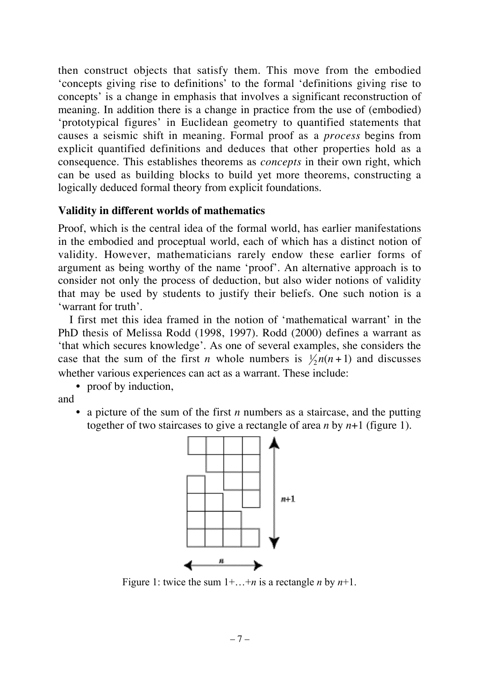then construct objects that satisfy them. This move from the embodied 'concepts giving rise to definitions' to the formal 'definitions giving rise to concepts' is a change in emphasis that involves a significant reconstruction of meaning. In addition there is a change in practice from the use of (embodied) 'prototypical figures' in Euclidean geometry to quantified statements that causes a seismic shift in meaning. Formal proof as a *process* begins from explicit quantified definitions and deduces that other properties hold as a consequence. This establishes theorems as *concepts* in their own right, which can be used as building blocks to build yet more theorems, constructing a logically deduced formal theory from explicit foundations.

#### **Validity in different worlds of mathematics**

Proof, which is the central idea of the formal world, has earlier manifestations in the embodied and proceptual world, each of which has a distinct notion of validity. However, mathematicians rarely endow these earlier forms of argument as being worthy of the name 'proof'. An alternative approach is to consider not only the process of deduction, but also wider notions of validity that may be used by students to justify their beliefs. One such notion is a 'warrant for truth'.

I first met this idea framed in the notion of 'mathematical warrant' in the PhD thesis of Melissa Rodd (1998, 1997). Rodd (2000) defines a warrant as 'that which secures knowledge'. As one of several examples, she considers the case that the sum of the first *n* whole numbers is  $\frac{1}{2}n(n+1)$  and discusses whether various experiences can act as a warrant. These include:

• proof by induction,

and

• a picture of the sum of the first *n* numbers as a staircase, and the putting together of two staircases to give a rectangle of area *n* by *n*+1 (figure 1).



Figure 1: twice the sum 1+…+*n* is a rectangle *n* by *n*+1.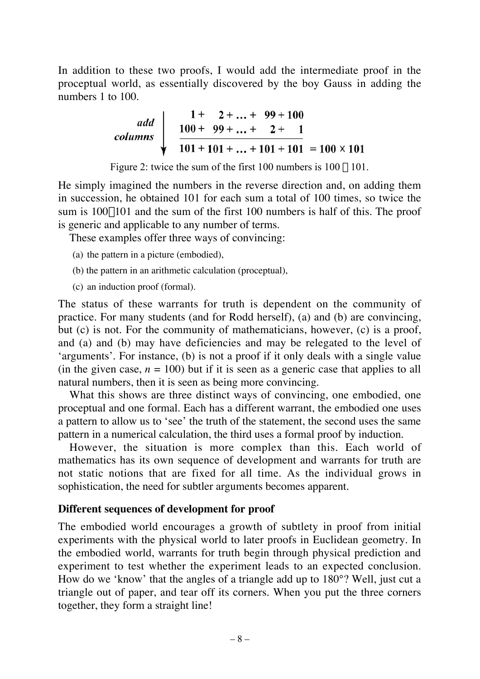In addition to these two proofs, I would add the intermediate proof in the proceptual world, as essentially discovered by the boy Gauss in adding the numbers 1 to 100.

| add                                       | $1 + 2 + ... + 99 + 100$ |
|-------------------------------------------|--------------------------|
| columns                                   | $100 + 99 + ... + 2 + 1$ |
| 101 + 101 + ... + 101 + 101 = 100 × 101\n |                          |

Figure 2: twice the sum of the first 100 numbers is  $100 \times 101$ .

He simply imagined the numbers in the reverse direction and, on adding them in succession, he obtained 101 for each sum a total of 100 times, so twice the sum is  $100\times101$  and the sum of the first 100 numbers is half of this. The proof is generic and applicable to any number of terms.

These examples offer three ways of convincing:

- (a) the pattern in a picture (embodied),
- (b) the pattern in an arithmetic calculation (proceptual),
- (c) an induction proof (formal).

The status of these warrants for truth is dependent on the community of practice. For many students (and for Rodd herself), (a) and (b) are convincing, but (c) is not. For the community of mathematicians, however, (c) is a proof, and (a) and (b) may have deficiencies and may be relegated to the level of 'arguments'. For instance, (b) is not a proof if it only deals with a single value (in the given case,  $n = 100$ ) but if it is seen as a generic case that applies to all natural numbers, then it is seen as being more convincing.

What this shows are three distinct ways of convincing, one embodied, one proceptual and one formal. Each has a different warrant, the embodied one uses a pattern to allow us to 'see' the truth of the statement, the second uses the same pattern in a numerical calculation, the third uses a formal proof by induction.

However, the situation is more complex than this. Each world of mathematics has its own sequence of development and warrants for truth are not static notions that are fixed for all time. As the individual grows in sophistication, the need for subtler arguments becomes apparent.

#### **Different sequences of development for proof**

The embodied world encourages a growth of subtlety in proof from initial experiments with the physical world to later proofs in Euclidean geometry. In the embodied world, warrants for truth begin through physical prediction and experiment to test whether the experiment leads to an expected conclusion. How do we 'know' that the angles of a triangle add up to 180°? Well, just cut a triangle out of paper, and tear off its corners. When you put the three corners together, they form a straight line!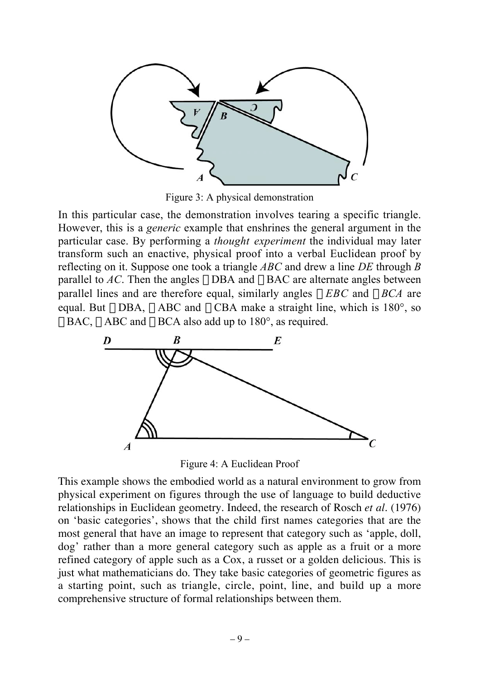

Figure 3: A physical demonstration

In this particular case, the demonstration involves tearing a specific triangle. However, this is a *generic* example that enshrines the general argument in the particular case. By performing a *thought experiment* the individual may later transform such an enactive, physical proof into a verbal Euclidean proof by reflecting on it. Suppose one took a triangle *ABC* and drew a line *DE* through *B* parallel to *AC*. Then the angles  $\angle$ DBA and  $\angle$ BAC are alternate angles between parallel lines and are therefore equal, similarly angles  $\angle EBC$  and  $\angle BCA$  are equal. But  $\angle$ DBA,  $\angle$ ABC and  $\angle$ CBA make a straight line, which is 180°, so  $\angle BAC$ ,  $\angle ABC$  and  $\angle BCA$  also add up to 180°, as required.



Figure 4: A Euclidean Proof

This example shows the embodied world as a natural environment to grow from physical experiment on figures through the use of language to build deductive relationships in Euclidean geometry. Indeed, the research of Rosch *et al.* (1976) on 'basic categories', shows that the child first names categories that are the most general that have an image to represent that category such as 'apple, doll, dog' rather than a more general category such as apple as a fruit or a more refined category of apple such as a Cox, a russet or a golden delicious. This is just what mathematicians do. They take basic categories of geometric figures as a starting point, such as triangle, circle, point, line, and build up a more comprehensive structure of formal relationships between them.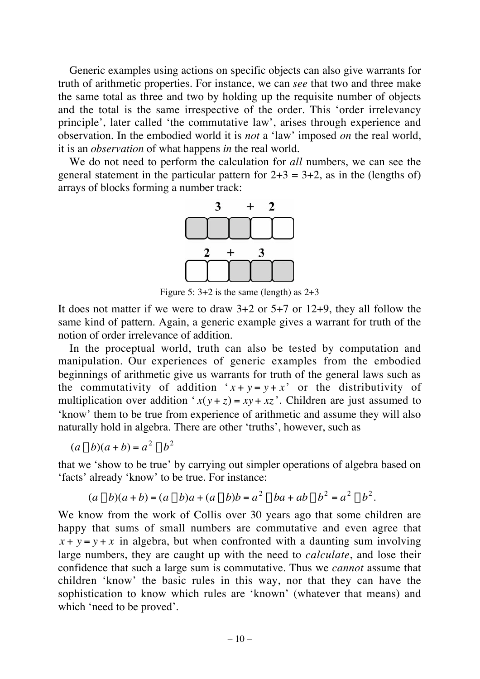Generic examples using actions on specific objects can also give warrants for truth of arithmetic properties. For instance, we can *see* that two and three make the same total as three and two by holding up the requisite number of objects and the total is the same irrespective of the order. This 'order irrelevancy principle', later called 'the commutative law', arises through experience and observation. In the embodied world it is *not* a 'law' imposed *on* the real world, it is an *observation* of what happens *in* the real world.

We do not need to perform the calculation for *all* numbers, we can see the general statement in the particular pattern for  $2+3 = 3+2$ , as in the (lengths of) arrays of blocks forming a number track:



Figure 5:  $3+2$  is the same (length) as  $2+3$ 

It does not matter if we were to draw 3+2 or 5+7 or 12+9, they all follow the same kind of pattern. Again, a generic example gives a warrant for truth of the notion of order irrelevance of addition.

In the proceptual world, truth can also be tested by computation and manipulation. Our experiences of generic examples from the embodied beginnings of arithmetic give us warrants for truth of the general laws such as the commutativity of addition  $x + y = y + x'$  or the distributivity of † multiplication over addition  $x(y + z) = xy + xz$ . Children are just assumed to 'know' them to be true from experience of arithmetic and assume they will also naturally hold in algebra. There are other 'truths', however, such as

$$
(a-b)(a+b) = a2 – b2
$$

that we 'show to be true' by carrying out simpler operations of algebra based on 'facts' already 'know' to be true. For instance:

$$
(a - b)(a + b) = (a - b)a + (a - b)b = a2 – ba + ab – b2 = a2 – b2.
$$

 $x + y = y + x$  in algebra, but when confronted with a daunting sum involving We know from the work of Collis over 30 years ago that some children are happy that sums of small numbers are commutative and even agree that large numbers, they are caught up with the need to *calculate*, and lose their confidence that such a large sum is commutative. Thus we *cannot* assume that children 'know' the basic rules in this way, nor that they can have the sophistication to know which rules are 'known' (whatever that means) and which 'need to be proved'.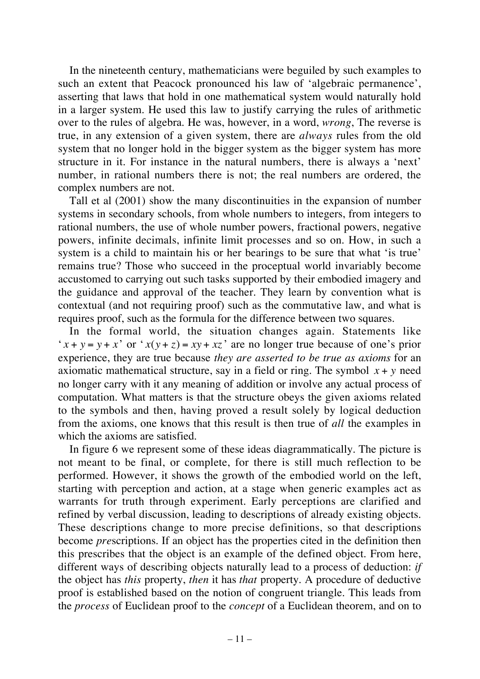In the nineteenth century, mathematicians were beguiled by such examples to such an extent that Peacock pronounced his law of 'algebraic permanence', asserting that laws that hold in one mathematical system would naturally hold in a larger system. He used this law to justify carrying the rules of arithmetic over to the rules of algebra. He was, however, in a word, *wrong*, The reverse is true, in any extension of a given system, there are *always* rules from the old system that no longer hold in the bigger system as the bigger system has more structure in it. For instance in the natural numbers, there is always a 'next' number, in rational numbers there is not; the real numbers are ordered, the complex numbers are not.

Tall et al (2001) show the many discontinuities in the expansion of number systems in secondary schools, from whole numbers to integers, from integers to rational numbers, the use of whole number powers, fractional powers, negative powers, infinite decimals, infinite limit processes and so on. How, in such a system is a child to maintain his or her bearings to be sure that what 'is true' remains true? Those who succeed in the proceptual world invariably become accustomed to carrying out such tasks supported by their embodied imagery and the guidance and approval of the teacher. They learn by convention what is contextual (and not requiring proof) such as the commutative law, and what is requires proof, such as the formula for the difference between two squares.

In the formal world, the situation changes again. Statements like ' $x + y = y + x'$  or ' $x(y + z) = xy + xz'$  are no longer true because of one's prior computation. What matters is that the structure obeys the given axioms related experience, they are true because *they are asserted to be true as axioms* for an axiomatic mathematical structure, say in a field or ring. The symbol *x* + *y* need from the axioms, one knows that this result is then true of *all* the examples in no longer carry with it any meaning of addition or involve any actual process of to the symbols and then, having proved a result solely by logical deduction which the axioms are satisfied.

In figure 6 we represent some of these ideas diagrammatically. The picture is not meant to be final, or complete, for there is still much reflection to be performed. However, it shows the growth of the embodied world on the left, starting with perception and action, at a stage when generic examples act as warrants for truth through experiment. Early perceptions are clarified and refined by verbal discussion, leading to descriptions of already existing objects. These descriptions change to more precise definitions, so that descriptions become *pre*scriptions. If an object has the properties cited in the definition then this prescribes that the object is an example of the defined object. From here, different ways of describing objects naturally lead to a process of deduction: *if* the object has *this* property, *then* it has *that* property. A procedure of deductive proof is established based on the notion of congruent triangle. This leads from the *process* of Euclidean proof to the *concept* of a Euclidean theorem, and on to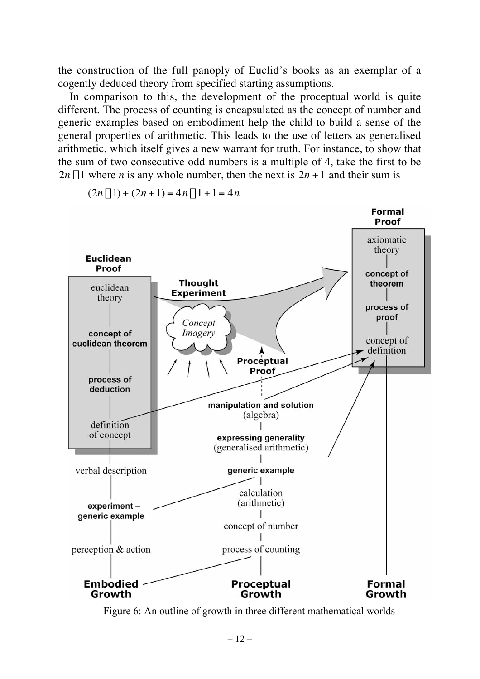the construction of the full panoply of Euclid's books as an exemplar of a cogently deduced theory from specified starting assumptions.

In comparison to this, the development of the proceptual world is quite different. The process of counting is encapsulated as the concept of number and generic examples based on embodiment help the child to build a sense of the general properties of arithmetic. This leads to the use of letters as generalised arithmetic, which itself gives a new warrant for truth. For instance, to show that the sum of two consecutive odd numbers is a multiple of 4, take the first to be  $2n - 1$  where *n* is any whole number, then the next is  $2n + 1$  and their sum is



 $(2n-1) + (2n+1) = 4n-1+1 = 4n$ 

Figure 6: An outline of growth in three different mathematical worlds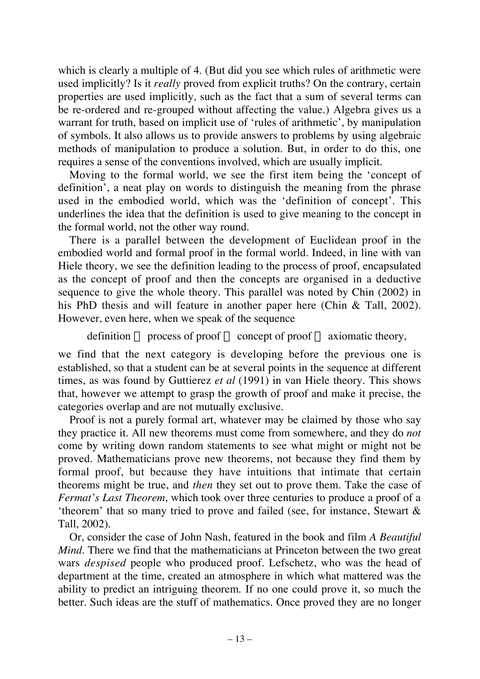which is clearly a multiple of 4. (But did you see which rules of arithmetic were used implicitly? Is it *really* proved from explicit truths? On the contrary, certain properties are used implicitly, such as the fact that a sum of several terms can be re-ordered and re-grouped without affecting the value.) Algebra gives us a warrant for truth, based on implicit use of 'rules of arithmetic', by manipulation of symbols. It also allows us to provide answers to problems by using algebraic methods of manipulation to produce a solution. But, in order to do this, one requires a sense of the conventions involved, which are usually implicit.

Moving to the formal world, we see the first item being the 'concept of definition', a neat play on words to distinguish the meaning from the phrase used in the embodied world, which was the 'definition of concept'. This underlines the idea that the definition is used to give meaning to the concept in the formal world, not the other way round.

There is a parallel between the development of Euclidean proof in the embodied world and formal proof in the formal world. Indeed, in line with van Hiele theory, we see the definition leading to the process of proof, encapsulated as the concept of proof and then the concepts are organised in a deductive sequence to give the whole theory. This parallel was noted by Chin (2002) in his PhD thesis and will feature in another paper here (Chin & Tall, 2002). However, even here, when we speak of the sequence

```
definition \rightarrow process of proof \rightarrow concept of proof \rightarrow axiomatic theory,
```
we find that the next category is developing before the previous one is established, so that a student can be at several points in the sequence at different times, as was found by Guttierez *et al* (1991) in van Hiele theory. This shows that, however we attempt to grasp the growth of proof and make it precise, the categories overlap and are not mutually exclusive.

Proof is not a purely formal art, whatever may be claimed by those who say they practice it. All new theorems must come from somewhere, and they do *not* come by writing down random statements to see what might or might not be proved. Mathematicians prove new theorems, not because they find them by formal proof, but because they have intuitions that intimate that certain theorems might be true, and *then* they set out to prove them. Take the case of *Fermat's Last Theorem*, which took over three centuries to produce a proof of a 'theorem' that so many tried to prove and failed (see, for instance, Stewart & Tall, 2002).

Or, consider the case of John Nash, featured in the book and film *A Beautiful Mind*. There we find that the mathematicians at Princeton between the two great wars *despised* people who produced proof. Lefschetz, who was the head of department at the time, created an atmosphere in which what mattered was the ability to predict an intriguing theorem. If no one could prove it, so much the better. Such ideas are the stuff of mathematics. Once proved they are no longer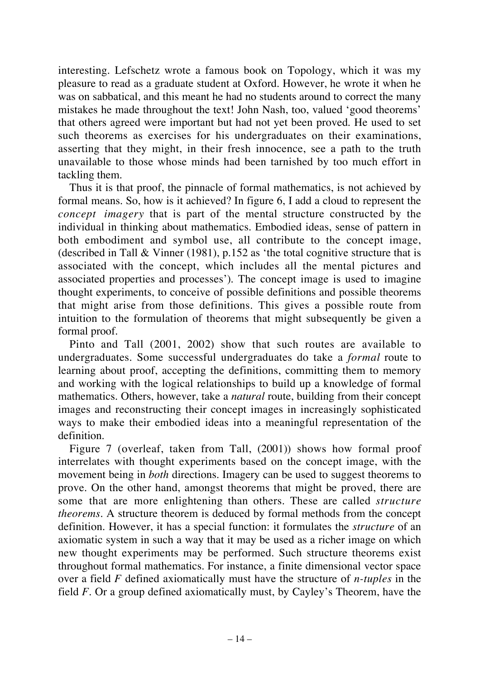interesting. Lefschetz wrote a famous book on Topology, which it was my pleasure to read as a graduate student at Oxford. However, he wrote it when he was on sabbatical, and this meant he had no students around to correct the many mistakes he made throughout the text! John Nash, too, valued 'good theorems' that others agreed were important but had not yet been proved. He used to set such theorems as exercises for his undergraduates on their examinations, asserting that they might, in their fresh innocence, see a path to the truth unavailable to those whose minds had been tarnished by too much effort in tackling them.

Thus it is that proof, the pinnacle of formal mathematics, is not achieved by formal means. So, how is it achieved? In figure 6, I add a cloud to represent the *concept imagery* that is part of the mental structure constructed by the individual in thinking about mathematics. Embodied ideas, sense of pattern in both embodiment and symbol use, all contribute to the concept image, (described in Tall & Vinner (1981), p.152 as 'the total cognitive structure that is associated with the concept, which includes all the mental pictures and associated properties and processes'). The concept image is used to imagine thought experiments, to conceive of possible definitions and possible theorems that might arise from those definitions. This gives a possible route from intuition to the formulation of theorems that might subsequently be given a formal proof.

Pinto and Tall (2001, 2002) show that such routes are available to undergraduates. Some successful undergraduates do take a *formal* route to learning about proof, accepting the definitions, committing them to memory and working with the logical relationships to build up a knowledge of formal mathematics. Others, however, take a *natural* route, building from their concept images and reconstructing their concept images in increasingly sophisticated ways to make their embodied ideas into a meaningful representation of the definition.

Figure 7 (overleaf, taken from Tall, (2001)) shows how formal proof interrelates with thought experiments based on the concept image, with the movement being in *both* directions. Imagery can be used to suggest theorems to prove. On the other hand, amongst theorems that might be proved, there are some that are more enlightening than others. These are called *structure theorems*. A structure theorem is deduced by formal methods from the concept definition. However, it has a special function: it formulates the *structure* of an axiomatic system in such a way that it may be used as a richer image on which new thought experiments may be performed. Such structure theorems exist throughout formal mathematics. For instance, a finite dimensional vector space over a field *F* defined axiomatically must have the structure of *n-tuples* in the field *F*. Or a group defined axiomatically must, by Cayley's Theorem, have the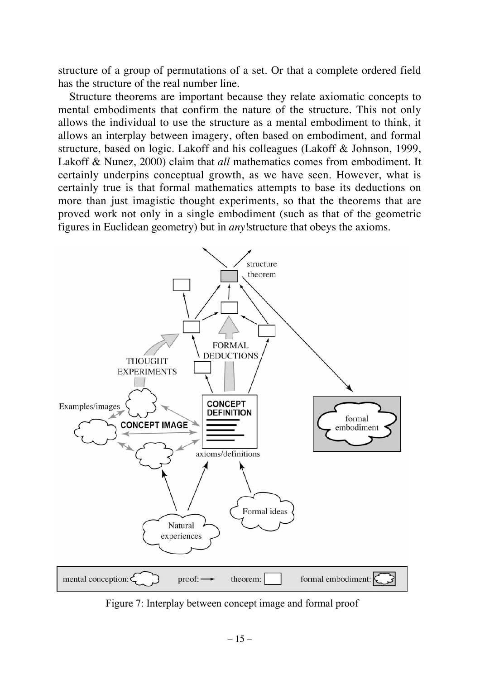structure of a group of permutations of a set. Or that a complete ordered field has the structure of the real number line.

Structure theorems are important because they relate axiomatic concepts to mental embodiments that confirm the nature of the structure. This not only allows the individual to use the structure as a mental embodiment to think, it allows an interplay between imagery, often based on embodiment, and formal structure, based on logic. Lakoff and his colleagues (Lakoff & Johnson, 1999, Lakoff & Nunez, 2000) claim that *all* mathematics comes from embodiment. It certainly underpins conceptual growth, as we have seen. However, what is certainly true is that formal mathematics attempts to base its deductions on more than just imagistic thought experiments, so that the theorems that are proved work not only in a single embodiment (such as that of the geometric figures in Euclidean geometry) but in *any*!structure that obeys the axioms.



Figure 7: Interplay between concept image and formal proof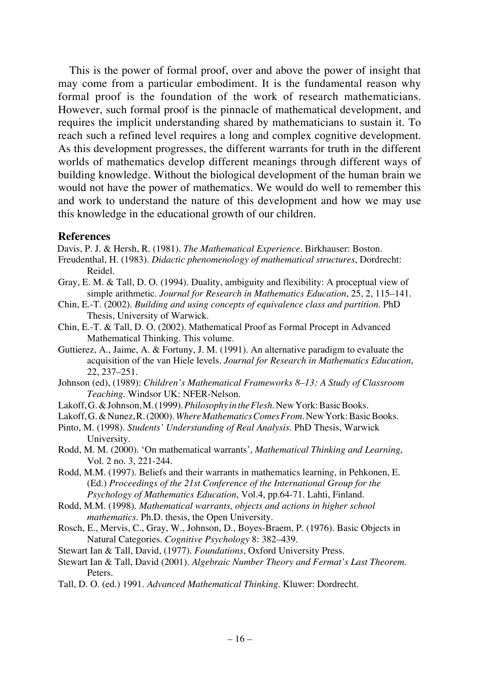This is the power of formal proof, over and above the power of insight that may come from a particular embodiment. It is the fundamental reason why formal proof is the foundation of the work of research mathematicians. However, such formal proof is the pinnacle of mathematical development, and requires the implicit understanding shared by mathematicians to sustain it. To reach such a refined level requires a long and complex cognitive development. As this development progresses, the different warrants for truth in the different worlds of mathematics develop different meanings through different ways of building knowledge. Without the biological development of the human brain we would not have the power of mathematics. We would do well to remember this and work to understand the nature of this development and how we may use this knowledge in the educational growth of our children.

#### **References**

Davis, P. J. & Hersh, R. (1981). *The Mathematical Experience*. Birkhauser: Boston.

- Freudenthal, H. (1983). *Didactic phenomenology of mathematical structures*, Dordrecht: Reidel.
- Gray, E. M. & Tall, D. O. (1994). Duality, ambiguity and flexibility: A proceptual view of simple arithmetic. *Journal for Research in Mathematics Education*, 25, 2, 115–141.
- Chin, E.-T. (2002). *Building and using concepts of equivalence class and partition*. PhD Thesis, University of Warwick.
- Chin, E.-T. & Tall, D. O. (2002). Mathematical Proof as Formal Procept in Advanced Mathematical Thinking. This volume.
- Guttierez, A., Jaime, A. & Fortuny, J. M. (1991). An alternative paradigm to evaluate the acquisition of the van Hiele levels. *Journal for Research in Mathematics Education*, 22, 237–251.
- Johnson (ed), (1989): *Children's Mathematical Frameworks 8–13: A Study of Classroom Teaching*. Windsor UK: NFER-Nelson.
- Lakoff, G. & Johnson, M. (1999). *Philosophy in the Flesh*. New York: Basic Books.
- Lakoff, G. & Nunez, R. (2000). Where Mathematics Comes From. New York: Basic Books.
- Pinto, M. (1998). *Students' Understanding of Real Analysis*. PhD Thesis, Warwick University.
- Rodd, M. M. (2000). 'On mathematical warrants', *Mathematical Thinking and Learning*, Vol. 2 no. 3, 221-244.
- Rodd, M.M. (1997). Beliefs and their warrants in mathematics learnin*g*, in Pehkonen, E. (Ed.) *Proceedings of the 21st Conference of the International Group for the Psychology of Mathematics Education*, Vol.4, pp.64-71. Lahti, Finland.
- Rodd, M.M. (1998). *Mathematical warrants, objects and actions in higher school mathematics*. Ph.D. thesis, the Open University.
- Rosch, E., Mervis, C., Gray, W., Johnson, D., Boyes-Braem, P. (1976). Basic Objects in Natural Categories. *Cognitive Psychology* 8: 382–439.
- Stewart Ian & Tall, David, (1977). *Foundations*, Oxford University Press.
- Stewart Ian & Tall, David (2001). *Algebraic Number Theory and Fermat's Last Theorem*. Peters.
- Tall, D. O. (ed.) 1991. *Advanced Mathematical Thinking*. Kluwer: Dordrecht.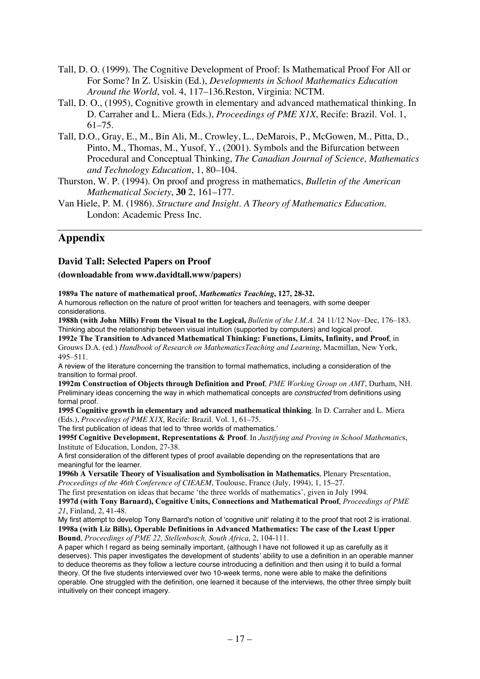- Tall, D. O. (1999). The Cognitive Development of Proof: Is Mathematical Proof For All or For Some? In Z. Usiskin (Ed.), *Developments in School Mathematics Education Around the World*, vol. 4, 117–136.Reston, Virginia: NCTM.
- Tall, D. O., (1995), Cognitive growth in elementary and advanced mathematical thinking. In D. Carraher and L. Miera (Eds.), *Proceedings of PME X1X*, Recife: Brazil. Vol. 1, 61–75.
- Tall, D.O., Gray, E., M., Bin Ali, M., Crowley, L., DeMarois, P., McGowen, M., Pitta, D., Pinto, M., Thomas, M., Yusof, Y., (2001). Symbols and the Bifurcation between Procedural and Conceptual Thinking, *The Canadian Journal of Science, Mathematics and Technology Education*, 1, 80–104.
- Thurston, W. P. (1994). On proof and progress in mathematics, *Bulletin of the American Mathematical Society*, **30** 2, 161–177.
- Van Hiele, P. M. (1986). *Structure and Insight. A Theory of Mathematics Education*. London: Academic Press Inc.

## **Appendix**

#### **David Tall: Selected Papers on Proof**

#### **(downloadable from www.davidtall.www/papers)**

**1989a The nature of mathematical proof,** *Mathematics Teaching***, 127, 28-32.**

A humorous reflection on the nature of proof written for teachers and teenagers, with some deeper considerations.

**1988h (with John Mills) From the Visual to the Logical,** *Bulletin of the I.M.A.* 24 11/12 Nov–Dec, 176–183. Thinking about the relationship between visual intuition (supported by computers) and logical proof. **1992e The Transition to Advanced Mathematical Thinking: Functions, Limits, Infinity, and Proof**, in

Grouws D.A. (ed.) *Handbook of Research on MathematicsTeaching and Learning*, Macmillan, New York, 495–511.

A review of the literature concerning the transition to formal mathematics, including a consideration of the transition to formal proof.

**1992m Construction of Objects through Definition and Proof**, *PME Working Group on AMT*, Durham, NH. Preliminary ideas concerning the way in which mathematical concepts are constructed from definitions using formal proof.

**1995 Cognitive growth in elementary and advanced mathematical thinking**. In D. Carraher and L. Miera (Eds.), *Proceedings of PME X1X*, Recife: Brazil. Vol. 1, 61–75.

The first publication of ideas that led to 'three worlds of mathematics.'

**1995f Cognitive Development, Representations & Proof**. In *Justifying and Proving in School Mathematic*s, Institute of Education, London, 27-38.

A first consideration of the different types of proof available depending on the representations that are meaningful for the learner.

**1996b A Versatile Theory of Visualisation and Symbolisation in Mathematics**, Plenary Presentation, *Proceedings of the 46th Conference of CIEAEM*, Toulouse, France (July, 1994), 1, 15–27.

The first presentation on ideas that became 'the three worlds of mathematics', given in July 1994.

**1997d (with Tony Barnard), Cognitive Units, Connections and Mathematical Proof**, *Proceedings of PME 21*, Finland, 2, 41-48.

My first attempt to develop Tony Barnard's notion of 'cognitive unit' relating it to the proof that root 2 is irrational. **1998a (with Liz Bills), Operable Definitions in Advanced Mathematics: The case of the Least Upper Bound**, *Proceedings of PME 22, Stellenbosch, South Africa*, 2, 104-111.

A paper which I regard as being seminally important, (although I have not followed it up as carefully as it deserves). This paper investigates the development of students' ability to use a definition in an operable manner to deduce theorems as they follow a lecture course introducing a definition and then using it to build a formal theory. Of the five students interviewed over two 10-week terms, none were able to make the definitions operable. One struggled with the definition, one learned it because of the interviews, the other three simply built intuitively on their concept imagery.